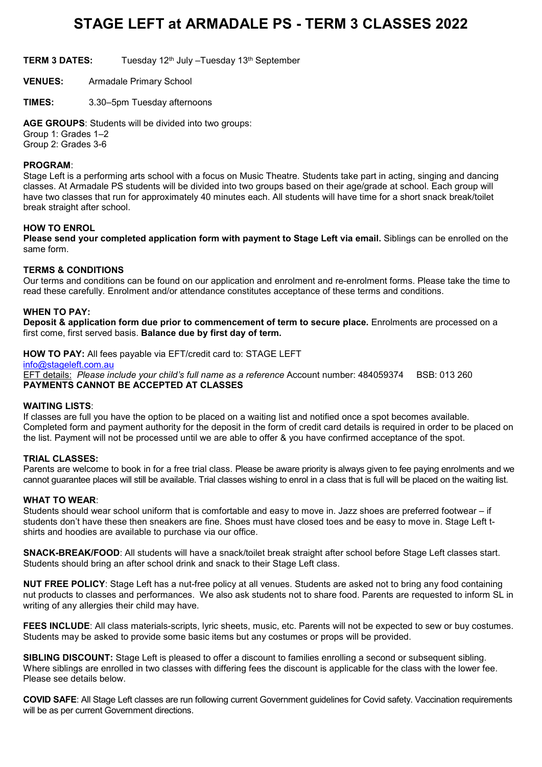# **STAGE LEFT at ARMADALE PS - TERM 3 CLASSES 2022**

**TERM 3 DATES:** Tuesday 12th July –Tuesday 13th September

**VENUES:** Armadale Primary School

**TIMES:** 3.30–5pm Tuesday afternoons

**AGE GROUPS**: Students will be divided into two groups: Group 1: Grades 1–2 Group 2: Grades 3-6

#### **PROGRAM**:

Stage Left is a performing arts school with a focus on Music Theatre. Students take part in acting, singing and dancing classes. At Armadale PS students will be divided into two groups based on their age/grade at school. Each group will have two classes that run for approximately 40 minutes each. All students will have time for a short snack break/toilet break straight after school.

#### **HOW TO ENROL**

**Please send your completed application form with payment to Stage Left via email.** Siblings can be enrolled on the same form.

#### **TERMS & CONDITIONS**

Our terms and conditions can be found on our application and enrolment and re-enrolment forms. Please take the time to read these carefully. Enrolment and/or attendance constitutes acceptance of these terms and conditions.

#### **WHEN TO PAY:**

**Deposit & application form due prior to commencement of term to secure place.** Enrolments are processed on a first come, first served basis. **Balance due by first day of term.**

**HOW TO PAY:** All fees payable via EFT/credit card to: STAGE LEFT

[info@stageleft.com.au](mailto:info@stageleft.com.au) EFT details: *Please include your child's full name as a reference* Account number: 484059374 BSB: 013 260 **PAYMENTS CANNOT BE ACCEPTED AT CLASSES**

#### **WAITING LISTS**:

If classes are full you have the option to be placed on a waiting list and notified once a spot becomes available. Completed form and payment authority for the deposit in the form of credit card details is required in order to be placed on the list. Payment will not be processed until we are able to offer & you have confirmed acceptance of the spot.

#### **TRIAL CLASSES:**

Parents are welcome to book in for a free trial class. Please be aware priority is always given to fee paying enrolments and we cannot guarantee places will still be available. Trial classes wishing to enrol in a class that is full will be placed on the waiting list.

#### **WHAT TO WEAR**:

Students should wear school uniform that is comfortable and easy to move in. Jazz shoes are preferred footwear – if students don't have these then sneakers are fine. Shoes must have closed toes and be easy to move in. Stage Left tshirts and hoodies are available to purchase via our office.

**SNACK-BREAK/FOOD**: All students will have a snack/toilet break straight after school before Stage Left classes start. Students should bring an after school drink and snack to their Stage Left class.

**NUT FREE POLICY**: Stage Left has a nut-free policy at all venues. Students are asked not to bring any food containing nut products to classes and performances. We also ask students not to share food. Parents are requested to inform SL in writing of any allergies their child may have.

**FEES INCLUDE**: All class materials-scripts, lyric sheets, music, etc. Parents will not be expected to sew or buy costumes. Students may be asked to provide some basic items but any costumes or props will be provided.

**SIBLING DISCOUNT:** Stage Left is pleased to offer a discount to families enrolling a second or subsequent sibling. Where siblings are enrolled in two classes with differing fees the discount is applicable for the class with the lower fee. Please see details below.

**COVID SAFE**: All Stage Left classes are run following current Government guidelines for Covid safety. Vaccination requirements will be as per current Government directions.